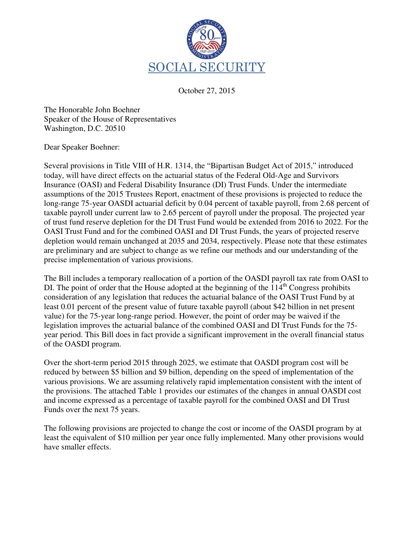

October 27, 2015

The Honorable John Boehner Speaker of the House of Representatives Washington, D.C. 20510

Dear Speaker Boehner:

Several provisions in Title VIII of H.R. 1314, the "Bipartisan Budget Act of 2015," introduced today, will have direct effects on the actuarial status of the Federal Old-Age and Survivors Insurance (OASI) and Federal Disability Insurance (DI) Trust Funds. Under the intermediate assumptions of the 2015 Trustees Report, enactment of these provisions is projected to reduce the long-range 75-year OASDI actuarial deficit by 0.04 percent of taxable payroll, from 2.68 percent of taxable payroll under current law to 2.65 percent of payroll under the proposal. The projected year of trust fund reserve depletion for the DI Trust Fund would be extended from 2016 to 2022. For the OASI Trust Fund and for the combined OASI and DI Trust Funds, the years of projected reserve depletion would remain unchanged at 2035 and 2034, respectively. Please note that these estimates are preliminary and are subject to change as we refine our methods and our understanding of the precise implementation of various provisions.

The Bill includes a temporary reallocation of a portion of the OASDI payroll tax rate from OASI to DI. The point of order that the House adopted at the beginning of the  $114<sup>th</sup>$  Congress prohibits consideration of any legislation that reduces the actuarial balance of the OASI Trust Fund by at least 0.01 percent of the present value of future taxable payroll (about \$42 billion in net present value) for the 75-year long-range period. However, the point of order may be waived if the legislation improves the actuarial balance of the combined OASI and DI Trust Funds for the 75 year period. This Bill does in fact provide a significant improvement in the overall financial status of the OASDI program.

Over the short-term period 2015 through 2025, we estimate that OASDI program cost will be reduced by between \$5 billion and \$9 billion, depending on the speed of implementation of the various provisions. We are assuming relatively rapid implementation consistent with the intent of the provisions. The attached Table 1 provides our estimates of the changes in annual OASDI cost and income expressed as a percentage of taxable payroll for the combined OASI and DI Trust Funds over the next 75 years.

The following provisions are projected to change the cost or income of the OASDI program by at least the equivalent of \$10 million per year once fully implemented. Many other provisions would have smaller effects.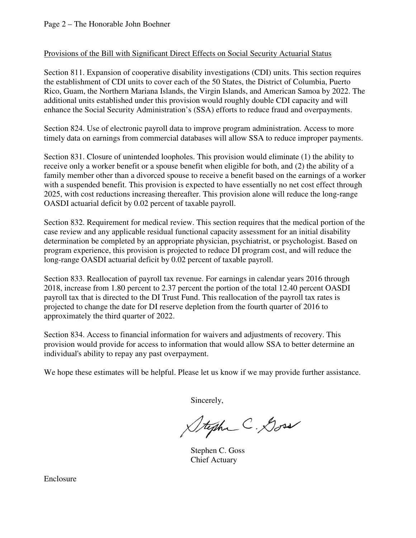## Provisions of the Bill with Significant Direct Effects on Social Security Actuarial Status

Section 811. Expansion of cooperative disability investigations (CDI) units. This section requires the establishment of CDI units to cover each of the 50 States, the District of Columbia, Puerto Rico, Guam, the Northern Mariana Islands, the Virgin Islands, and American Samoa by 2022. The additional units established under this provision would roughly double CDI capacity and will enhance the Social Security Administration's (SSA) efforts to reduce fraud and overpayments.

Section 824. Use of electronic payroll data to improve program administration. Access to more timely data on earnings from commercial databases will allow SSA to reduce improper payments.

Section 831. Closure of unintended loopholes. This provision would eliminate (1) the ability to receive only a worker benefit or a spouse benefit when eligible for both, and (2) the ability of a family member other than a divorced spouse to receive a benefit based on the earnings of a worker with a suspended benefit. This provision is expected to have essentially no net cost effect through 2025, with cost reductions increasing thereafter. This provision alone will reduce the long-range OASDI actuarial deficit by 0.02 percent of taxable payroll.

Section 832. Requirement for medical review. This section requires that the medical portion of the case review and any applicable residual functional capacity assessment for an initial disability determination be completed by an appropriate physician, psychiatrist, or psychologist. Based on program experience, this provision is projected to reduce DI program cost, and will reduce the long-range OASDI actuarial deficit by 0.02 percent of taxable payroll.

Section 833. Reallocation of payroll tax revenue. For earnings in calendar years 2016 through 2018, increase from 1.80 percent to 2.37 percent the portion of the total 12.40 percent OASDI payroll tax that is directed to the DI Trust Fund. This reallocation of the payroll tax rates is projected to change the date for DI reserve depletion from the fourth quarter of 2016 to approximately the third quarter of 2022.

Section 834. Access to financial information for waivers and adjustments of recovery. This provision would provide for access to information that would allow SSA to better determine an individual's ability to repay any past overpayment.

We hope these estimates will be helpful. Please let us know if we may provide further assistance.

Sincerely,

Stephen C. Doss

 Stephen C. Goss Chief Actuary

Enclosure